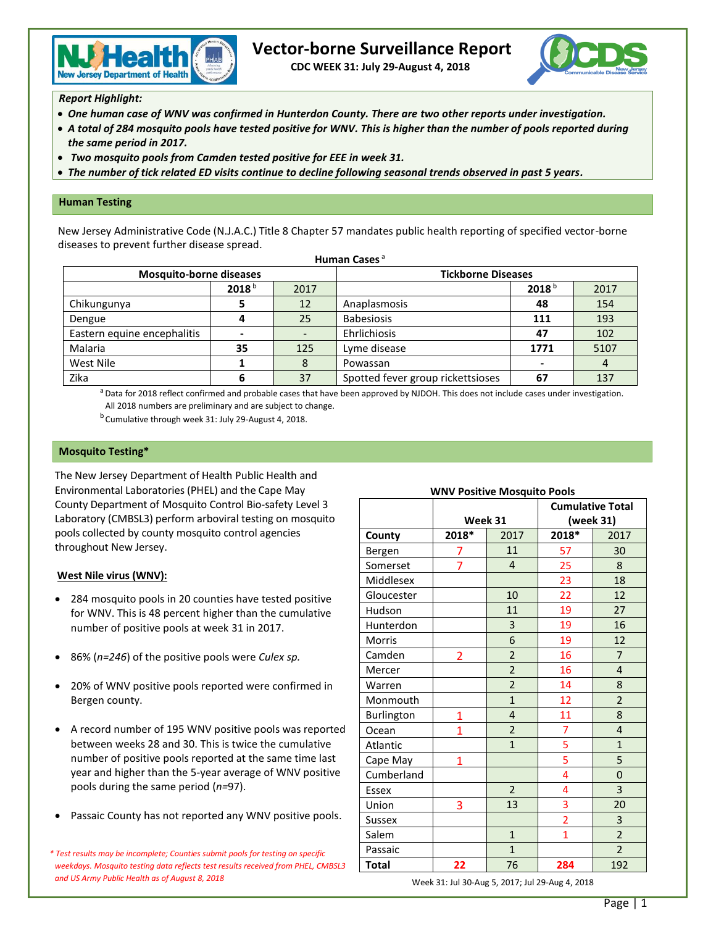

# **Vector-borne Surveillance Report**

 **CDC WEEK 31: July 29-August 4, 2018**



*Report Highlight:*

- *One human case of WNV was confirmed in Hunterdon County. There are two other reports under investigation.*
- *A total of 284 mosquito pools have tested positive for WNV. This is higher than the number of pools reported during the same period in 2017.*
- *Two mosquito pools from Camden tested positive for EEE in week 31.*
- *The number of tick related ED visits continue to decline following seasonal trends observed in past 5 years.*

### **Human Testing**

New Jersey Administrative Code (N.J.A.C.) Title 8 Chapter 57 mandates public health reporting of specified vector-borne diseases to prevent further disease spread. **Human Cases** <sup>a</sup>

| naman cascs                    |                   |      |                                   |      |      |  |  |
|--------------------------------|-------------------|------|-----------------------------------|------|------|--|--|
| <b>Mosquito-borne diseases</b> |                   |      | <b>Tickborne Diseases</b>         |      |      |  |  |
|                                | 2018 <sup>b</sup> | 2017 | 2018 <sup>b</sup><br>2017         |      |      |  |  |
| Chikungunya                    |                   | 12   | Anaplasmosis                      | 48   | 154  |  |  |
| Dengue                         |                   | 25   | <b>Babesiosis</b>                 | 111  | 193  |  |  |
| Eastern equine encephalitis    |                   |      | Ehrlichiosis                      | 47   | 102  |  |  |
| Malaria                        | 35                | 125  | Lyme disease                      | 1771 | 5107 |  |  |
| West Nile                      |                   |      | Powassan                          |      | 4    |  |  |
| Zika                           | 6                 | 37   | Spotted fever group rickettsioses | 67   | 137  |  |  |

<sup>a</sup> Data for 2018 reflect confirmed and probable cases that have been approved by NJDOH. This does not include cases under investigation. All 2018 numbers are preliminary and are subject to change.

<sup>b</sup> Cumulative through week 31: July 29-August 4, 2018.

#### **Mosquito Testing\***

The New Jersey Department of Health Public Health and Environmental Laboratories (PHEL) and the Cape May County Department of Mosquito Control Bio-safety Level 3 Laboratory (CMBSL3) perform arboviral testing on mosquito pools collected by county mosquito control agencies throughout New Jersey.

## **West Nile virus (WNV):**

- 284 mosquito pools in 20 counties have tested positive for WNV. This is 48 percent higher than the cumulative number of positive pools at week 31 in 2017.
- 86% (*n=246*) of the positive pools were *Culex sp.*
- 20% of WNV positive pools reported were confirmed in Bergen county.
- A record number of 195 WNV positive pools was reported between weeks 28 and 30. This is twice the cumulative number of positive pools reported at the same time last year and higher than the 5-year average of WNV positive pools during the same period (*n=*97).
- Passaic County has not reported any WNV positive pools.

*\* Test results may be incomplete; Counties submit pools for testing on specific weekdays. Mosquito testing data reflects test results received from PHEL, CMBSL3 and US Army Public Health as of August 8, 2018*

| <b>WNV Positive Mosquito Pools</b> |               |                         |                         |                |  |  |  |
|------------------------------------|---------------|-------------------------|-------------------------|----------------|--|--|--|
|                                    |               |                         | <b>Cumulative Total</b> |                |  |  |  |
|                                    | Week 31       |                         | (week 31)               |                |  |  |  |
| County                             | 2018*<br>2017 |                         | 2018*                   | 2017           |  |  |  |
| Bergen                             | 7             | 11                      | 57                      | 30             |  |  |  |
| Somerset                           | 7             | 4                       | 25                      | 8              |  |  |  |
| Middlesex                          |               |                         | 23                      | 18             |  |  |  |
| Gloucester                         |               | 10                      | 22                      | 12             |  |  |  |
| Hudson                             |               | 11                      | 19                      | 27             |  |  |  |
| Hunterdon                          |               | 3                       | 19                      | 16             |  |  |  |
| <b>Morris</b>                      |               | 6                       | 19                      | 12             |  |  |  |
| Camden                             | 2             | $\overline{2}$          | 16                      | $\overline{7}$ |  |  |  |
| Mercer                             |               | $\overline{a}$          | 16                      | $\overline{4}$ |  |  |  |
| Warren                             |               | $\overline{2}$          | 14                      | 8              |  |  |  |
| Monmouth                           |               | $\mathbf{1}$            | 12                      | $\overline{2}$ |  |  |  |
| Burlington                         | 1             | $\overline{4}$          | 11                      | 8              |  |  |  |
| Ocean                              | 1             | $\overline{\mathbf{c}}$ | $\overline{7}$          | $\overline{4}$ |  |  |  |
| Atlantic                           |               | $\overline{1}$          | 5                       | $\mathbf{1}$   |  |  |  |
| Cape May                           | 1             |                         | 5                       | 5              |  |  |  |
| Cumberland                         |               |                         | 4                       | $\mathbf 0$    |  |  |  |
| <b>Essex</b>                       |               | $\overline{2}$          | 4                       | 3              |  |  |  |
| Union                              | 3             | 13                      | 3                       | 20             |  |  |  |
| Sussex                             |               |                         | $\overline{\mathbf{c}}$ | 3              |  |  |  |
| Salem                              |               | $\mathbf{1}$            | $\overline{1}$          | $\overline{2}$ |  |  |  |
| Passaic                            |               | $\mathbf{1}$            |                         | $\overline{2}$ |  |  |  |
| <b>Total</b>                       | 22            | 76                      | 284                     | 192            |  |  |  |

Week 31: Jul 30-Aug 5, 2017; Jul 29-Aug 4, 2018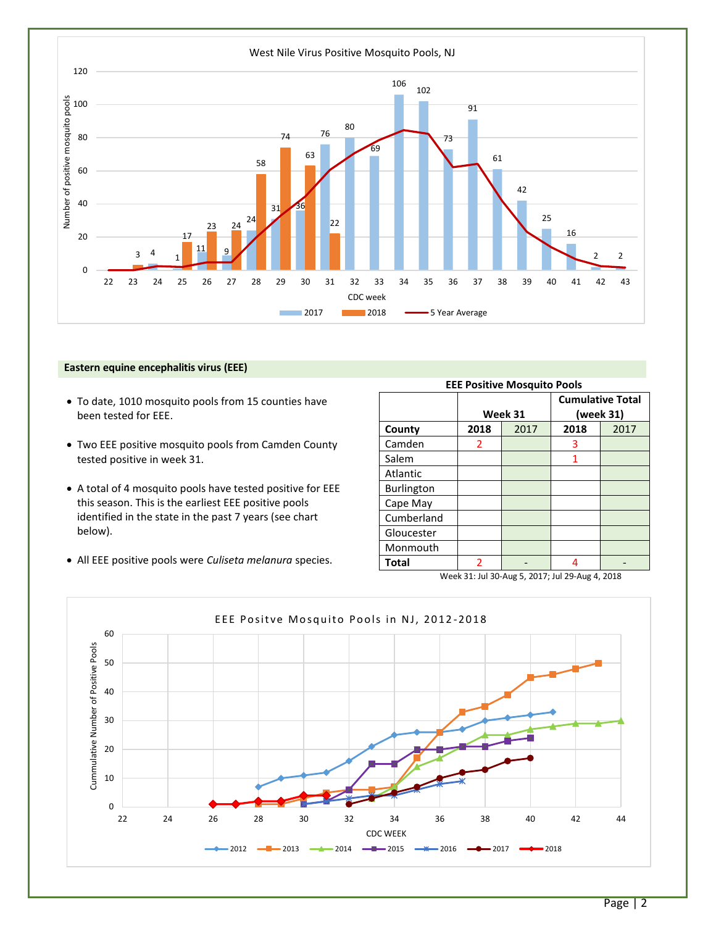

#### **Eastern equine encephalitis virus (EEE)**

- To date, 1010 mosquito pools from 15 counties have been tested for EEE.
- Two EEE positive mosquito pools from Camden County tested positive in week 31.
- A total of 4 mosquito pools have tested positive for EEE this season. This is the earliest EEE positive pools identified in the state in the past 7 years (see chart below).
- All EEE positive pools were *Culiseta melanura* species.

| <b>EEE Positive Mosquito Pools</b>              |                |         |                                      |      |  |  |  |
|-------------------------------------------------|----------------|---------|--------------------------------------|------|--|--|--|
|                                                 |                | Week 31 | <b>Cumulative Total</b><br>(week 31) |      |  |  |  |
| County                                          | 2017<br>2018   |         | 2018                                 | 2017 |  |  |  |
| Camden                                          | 2              |         | 3                                    |      |  |  |  |
| Salem                                           |                |         | 1                                    |      |  |  |  |
| Atlantic                                        |                |         |                                      |      |  |  |  |
| <b>Burlington</b>                               |                |         |                                      |      |  |  |  |
| Cape May                                        |                |         |                                      |      |  |  |  |
| Cumberland                                      |                |         |                                      |      |  |  |  |
| Gloucester                                      |                |         |                                      |      |  |  |  |
| Monmouth                                        |                |         |                                      |      |  |  |  |
| Total                                           | $\overline{2}$ |         | 4                                    |      |  |  |  |
| Week 31: Jul 30-Aug 5, 2017; Jul 29-Aug 4, 2018 |                |         |                                      |      |  |  |  |



# Page | 2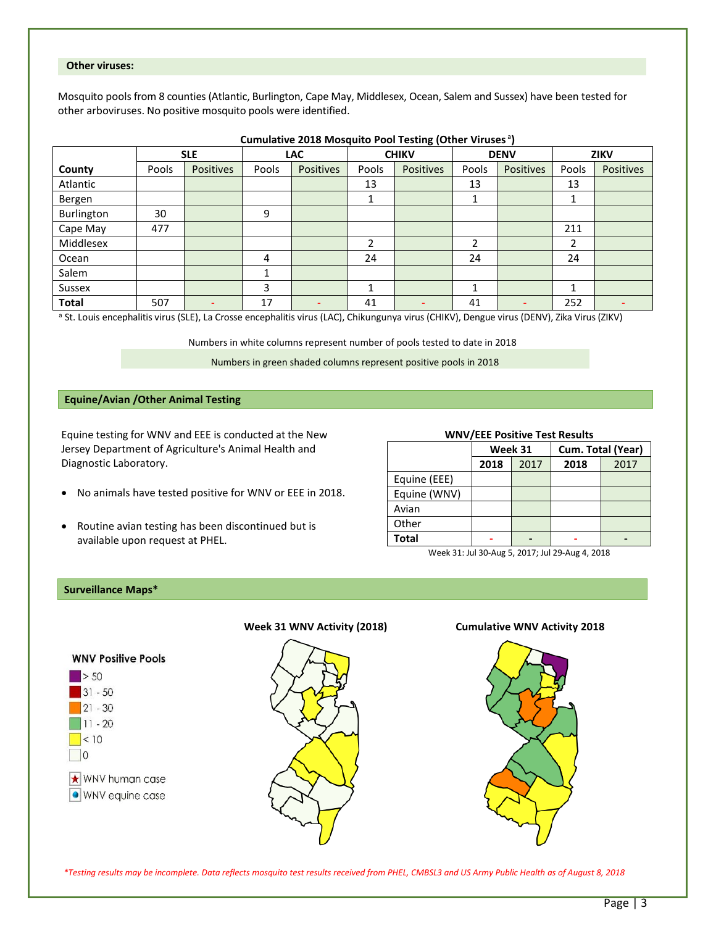#### **Other viruses:**

Mosquito pools from 8 counties (Atlantic, Burlington, Cape May, Middlesex, Ocean, Salem and Sussex) have been tested for other arboviruses. No positive mosquito pools were identified.

|              | <b>SLE</b> |                  | LAC   |                  | . .<br><b>CHIKV</b> |                  | <b>DENV</b>              |                  | <b>ZIKV</b> |           |
|--------------|------------|------------------|-------|------------------|---------------------|------------------|--------------------------|------------------|-------------|-----------|
| County       | Pools      | <b>Positives</b> | Pools | <b>Positives</b> | Pools               | <b>Positives</b> | Pools                    | <b>Positives</b> | Pools       | Positives |
| Atlantic     |            |                  |       |                  | 13                  |                  | 13                       |                  | 13          |           |
| Bergen       |            |                  |       |                  | ᅩ                   |                  | ᅩ                        |                  |             |           |
| Burlington   | 30         |                  | 9     |                  |                     |                  |                          |                  |             |           |
| Cape May     | 477        |                  |       |                  |                     |                  |                          |                  | 211         |           |
| Middlesex    |            |                  |       |                  | ำ                   |                  | $\overline{\phantom{a}}$ |                  | າ           |           |
| Ocean        |            |                  | 4     |                  | 24                  |                  | 24                       |                  | 24          |           |
| Salem        |            |                  | 1     |                  |                     |                  |                          |                  |             |           |
| Sussex       |            |                  | 3     |                  |                     |                  |                          |                  |             |           |
| <b>Total</b> | 507        |                  | 17    |                  | 41                  |                  | 41                       |                  | 252         |           |

**Cumulative 2018 Mosquito Pool Testing (Other Viruses<sup>a</sup>)** 

a St. Louis encephalitis virus (SLE), La Crosse encephalitis virus (LAC), Chikungunya virus (CHIKV), Dengue virus (DENV), Zika Virus (ZIKV)

Numbers in white columns represent number of pools tested to date in 2018

Numbers in green shaded columns represent positive pools in 2018

# **Equine/Avian /Other Animal Testing**

Equine testing for WNV and EEE is conducted at the New Jersey Department of Agriculture's Animal Health and Diagnostic Laboratory.

- No animals have tested positive for WNV or EEE in 2018.
- Routine avian testing has been discontinued but is available upon request at PHEL.

#### **WNV/EEE Positive Test Results**

|              | Week 31      |  | Cum. Total (Year) |      |  |
|--------------|--------------|--|-------------------|------|--|
|              | 2018<br>2017 |  | 2018              | 2017 |  |
| Equine (EEE) |              |  |                   |      |  |
| Equine (WNV) |              |  |                   |      |  |
| Avian        |              |  |                   |      |  |
| Other        |              |  |                   |      |  |
| <b>Total</b> |              |  |                   |      |  |

Week 31: Jul 30-Aug 5, 2017; Jul 29-Aug 4, 2018

#### **Surveillance Maps\***



 *\*Testing results may be incomplete. Data reflects mosquito test results received from PHEL, CMBSL3 and US Army Public Health as of August 8, 2018*